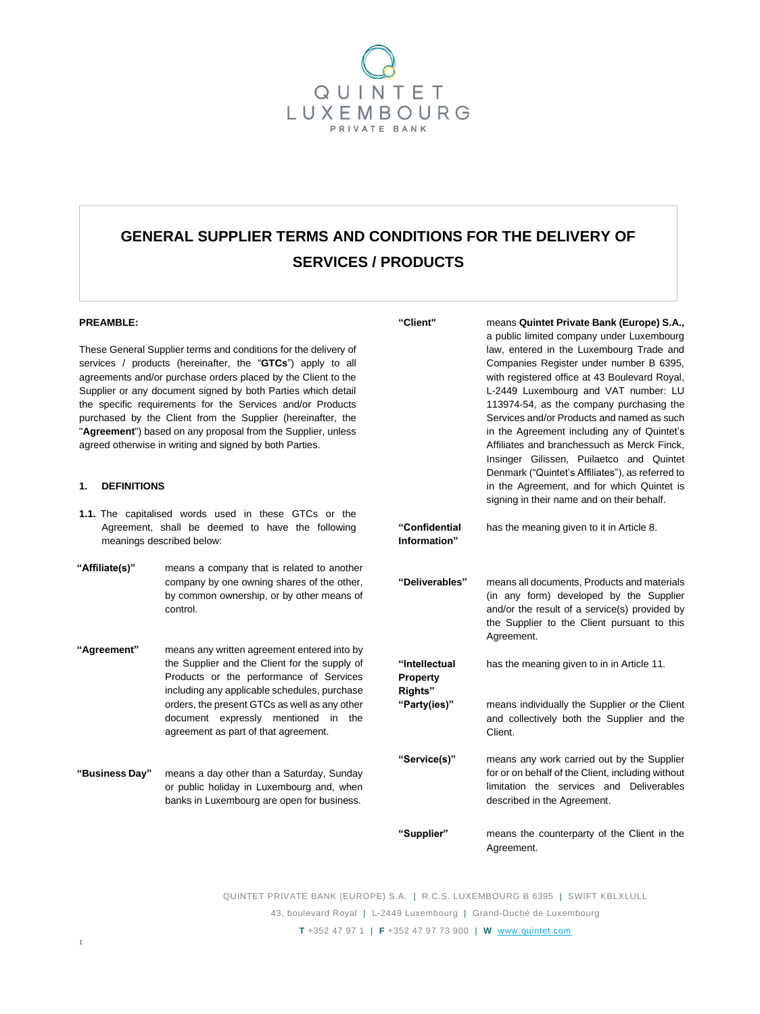# QUINTET LUXEMBOURG PRIVATE BANK

# **GENERAL SUPPLIER TERMS AND CONDITIONS FOR THE DELIVERY OF SERVICES / PRODUCTS**

#### **PREAMBLE:**

These General Supplier terms and conditions for the delivery of services / products (hereinafter, the "**GTCs**") apply to all agreements and/or purchase orders placed by the Client to the Supplier or any document signed by both Parties which detail the specific requirements for the Services and/or Products purchased by the Client from the Supplier (hereinafter, the "**Agreement**") based on any proposal from the Supplier, unless agreed otherwise in writing and signed by both Parties.

#### **1. DEFINITIONS**

1

- **1.1.** The capitalised words used in these GTCs or the Agreement, shall be deemed to have the following meanings described below:
- **"Affiliate(s)"** means a company that is related to another company by one owning shares of the other, by common ownership, or by other means of control.

**"Agreement"** means any written agreement entered into by the Supplier and the Client for the supply of Products or the performance of Services including any applicable schedules, purchase orders, the present GTCs as well as any other document expressly mentioned in the agreement as part of that agreement.

**"Business Day"** means a day other than a Saturday, Sunday or public holiday in Luxembourg and, when banks in Luxembourg are open for business.

**"Client"** means **Quintet Private Bank (Europe) S.A.,** a public limited company under Luxembourg law, entered in the Luxembourg Trade and Companies Register under number B 6395, with registered office at 43 Boulevard Royal, L-2449 Luxembourg and VAT number: LU 113974-54, as the company purchasing the Services and/or Products and named as such in the Agreement including any of Quintet's Affiliates and branchessuch as Merck Finck, Insinger Gilissen, Puilaetco and Quintet Denmark ("Quintet's Affiliates"), as referred to in the Agreement, and for which Quintet is signing in their name and on their behalf.

**"Confidential Information"** has the meaning given to it in Articl[e 8.](#page-3-0)

**"Deliverables"** means all documents, Products and materials (in any form) developed by the Supplier and/or the result of a service(s) provided by the Supplier to the Client pursuant to this Agreement.

**"Intellectual** has the meaning given to in in Article [11.](#page-4-0)

**"Party(ies)"** means individually the Supplier or the Client and collectively both the Supplier and the Client.

**"Service(s)"** means any work carried out by the Supplier for or on behalf of the Client, including without limitation the services and Deliverables described in the Agreement.

**"Supplier"** means the counterparty of the Client in the Agreement.

QUINTET PRIVATE BANK (EUROPE) S.A. | R.C.S. LUXEMBOURG B 6395 | SWIFT KBLXLULL

43, boulevard Royal | L-2449 Luxembourg | Grand-Duché de Luxembourg

**Property Rights"**

**T** +352 47 97 1 | **F** +352 47 97 73 900 | **W** [www.quintet.com](http://www.quintet.com/)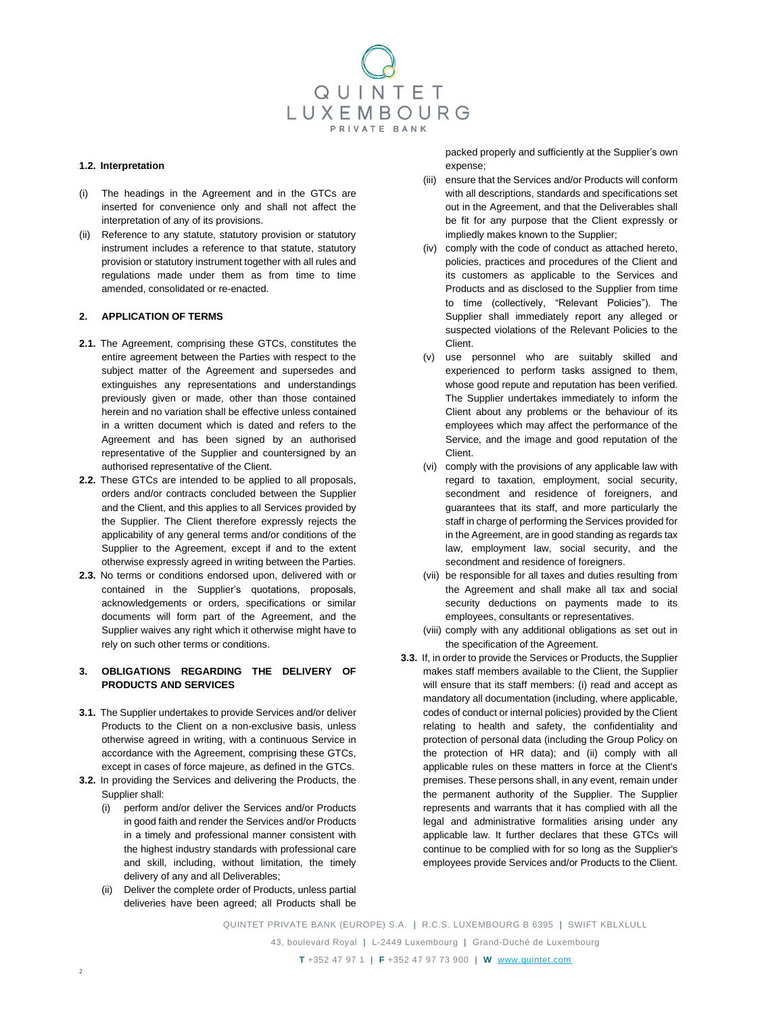

#### **1.2. Interpretation**

- (i) The headings in the Agreement and in the GTCs are inserted for convenience only and shall not affect the interpretation of any of its provisions.
- (ii) Reference to any statute, statutory provision or statutory instrument includes a reference to that statute, statutory provision or statutory instrument together with all rules and regulations made under them as from time to time amended, consolidated or re-enacted.

#### **2. APPLICATION OF TERMS**

- **2.1.** The Agreement, comprising these GTCs, constitutes the entire agreement between the Parties with respect to the subject matter of the Agreement and supersedes and extinguishes any representations and understandings previously given or made, other than those contained herein and no variation shall be effective unless contained in a written document which is dated and refers to the Agreement and has been signed by an authorised representative of the Supplier and countersigned by an authorised representative of the Client.
- **2.2.** These GTCs are intended to be applied to all proposals, orders and/or contracts concluded between the Supplier and the Client, and this applies to all Services provided by the Supplier. The Client therefore expressly rejects the applicability of any general terms and/or conditions of the Supplier to the Agreement, except if and to the extent otherwise expressly agreed in writing between the Parties.
- **2.3.** No terms or conditions endorsed upon, delivered with or contained in the Supplier's quotations, proposals, acknowledgements or orders, specifications or similar documents will form part of the Agreement, and the Supplier waives any right which it otherwise might have to rely on such other terms or conditions.

#### **3. OBLIGATIONS REGARDING THE DELIVERY OF PRODUCTS AND SERVICES**

- **3.1.** The Supplier undertakes to provide Services and/or deliver Products to the Client on a non-exclusive basis, unless otherwise agreed in writing, with a continuous Service in accordance with the Agreement, comprising these GTCs, except in cases of force majeure, as defined in the GTCs.
- **3.2.** In providing the Services and delivering the Products, the Supplier shall:
	- (i) perform and/or deliver the Services and/or Products in good faith and render the Services and/or Products in a timely and professional manner consistent with the highest industry standards with professional care and skill, including, without limitation, the timely delivery of any and all Deliverables;
	- (ii) Deliver the complete order of Products, unless partial deliveries have been agreed; all Products shall be

packed properly and sufficiently at the Supplier's own expense;

- (iii) ensure that the Services and/or Products will conform with all descriptions, standards and specifications set out in the Agreement, and that the Deliverables shall be fit for any purpose that the Client expressly or impliedly makes known to the Supplier;
- (iv) comply with the code of conduct as attached hereto, policies, practices and procedures of the Client and its customers as applicable to the Services and Products and as disclosed to the Supplier from time to time (collectively, "Relevant Policies"). The Supplier shall immediately report any alleged or suspected violations of the Relevant Policies to the Client.
- (v) use personnel who are suitably skilled and experienced to perform tasks assigned to them, whose good repute and reputation has been verified. The Supplier undertakes immediately to inform the Client about any problems or the behaviour of its employees which may affect the performance of the Service, and the image and good reputation of the Client.
- (vi) comply with the provisions of any applicable law with regard to taxation, employment, social security, secondment and residence of foreigners, and guarantees that its staff, and more particularly the staff in charge of performing the Services provided for in the Agreement, are in good standing as regards tax law, employment law, social security, and the secondment and residence of foreigners.
- (vii) be responsible for all taxes and duties resulting from the Agreement and shall make all tax and social security deductions on payments made to its employees, consultants or representatives.
- (viii) comply with any additional obligations as set out in the specification of the Agreement.
- **3.3.** If, in order to provide the Services or Products, the Supplier makes staff members available to the Client, the Supplier will ensure that its staff members: (i) read and accept as mandatory all documentation (including, where applicable, codes of conduct or internal policies) provided by the Client relating to health and safety, the confidentiality and protection of personal data (including the Group Policy on the protection of HR data); and (ii) comply with all applicable rules on these matters in force at the Client's premises. These persons shall, in any event, remain under the permanent authority of the Supplier. The Supplier represents and warrants that it has complied with all the legal and administrative formalities arising under any applicable law. It further declares that these GTCs will continue to be complied with for so long as the Supplier's employees provide Services and/or Products to the Client.

QUINTET PRIVATE BANK (EUROPE) S.A. | R.C.S. LUXEMBOURG B 6395 | SWIFT KBLXLULL 43, boulevard Royal | L-2449 Luxembourg | Grand-Duché de Luxembourg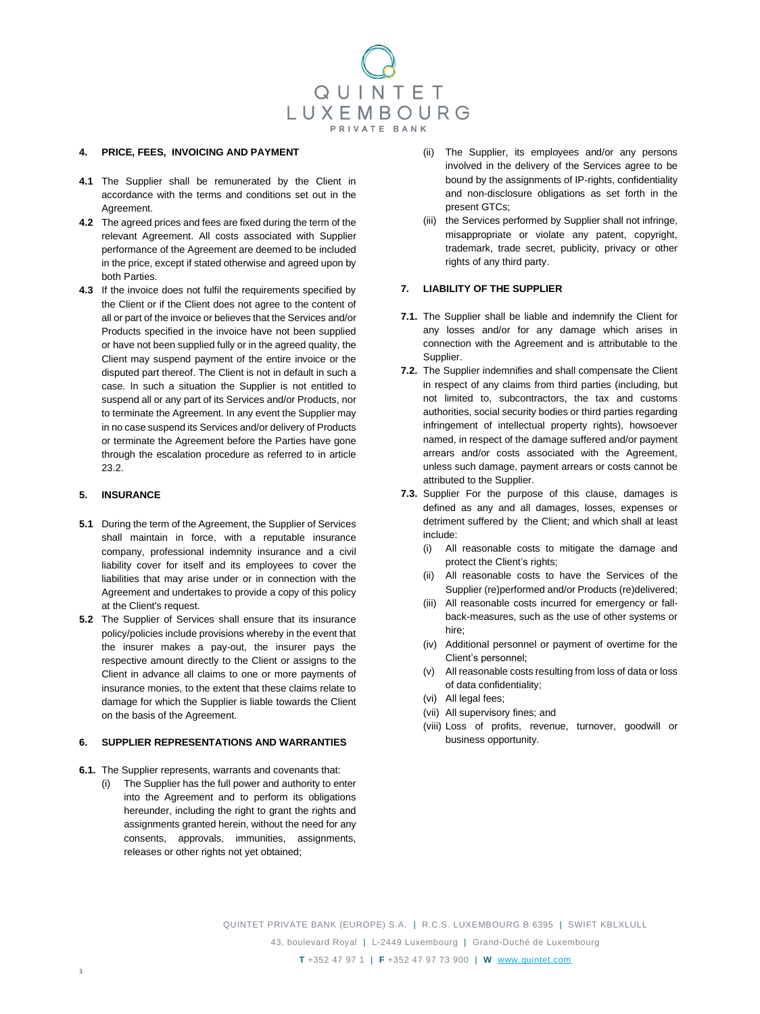

#### **4. PRICE, FEES, INVOICING AND PAYMENT**

- **4.1** The Supplier shall be remunerated by the Client in accordance with the terms and conditions set out in the Agreement.
- **4.2** The agreed prices and fees are fixed during the term of the relevant Agreement. All costs associated with Supplier performance of the Agreement are deemed to be included in the price, except if stated otherwise and agreed upon by both Parties.
- **4.3** If the invoice does not fulfil the requirements specified by the Client or if the Client does not agree to the content of all or part of the invoice or believes that the Services and/or Products specified in the invoice have not been supplied or have not been supplied fully or in the agreed quality, the Client may suspend payment of the entire invoice or the disputed part thereof. The Client is not in default in such a case. In such a situation the Supplier is not entitled to suspend all or any part of its Services and/or Products, nor to terminate the Agreement. In any event the Supplier may in no case suspend its Services and/or delivery of Products or terminate the Agreement before the Parties have gone through the escalation procedure as referred to in article 23.2.

#### **5. INSURANCE**

- **5.1** During the term of the Agreement, the Supplier of Services shall maintain in force, with a reputable insurance company, professional indemnity insurance and a civil liability cover for itself and its employees to cover the liabilities that may arise under or in connection with the Agreement and undertakes to provide a copy of this policy at the Client's request.
- **5.2** The Supplier of Services shall ensure that its insurance policy/policies include provisions whereby in the event that the insurer makes a pay-out, the insurer pays the respective amount directly to the Client or assigns to the Client in advance all claims to one or more payments of insurance monies, to the extent that these claims relate to damage for which the Supplier is liable towards the Client on the basis of the Agreement.

#### **6. SUPPLIER REPRESENTATIONS AND WARRANTIES**

- **6.1.** The Supplier represents, warrants and covenants that:
	- (i) The Supplier has the full power and authority to enter into the Agreement and to perform its obligations hereunder, including the right to grant the rights and assignments granted herein, without the need for any consents, approvals, immunities, assignments, releases or other rights not yet obtained;
- (ii) The Supplier, its employees and/or any persons involved in the delivery of the Services agree to be bound by the assignments of IP-rights, confidentiality and non-disclosure obligations as set forth in the present GTCs;
- (iii) the Services performed by Supplier shall not infringe, misappropriate or violate any patent, copyright, trademark, trade secret, publicity, privacy or other rights of any third party.

#### **7. LIABILITY OF THE SUPPLIER**

- **7.1.** The Supplier shall be liable and indemnify the Client for any losses and/or for any damage which arises in connection with the Agreement and is attributable to the Supplier.
- **7.2.** The Supplier indemnifies and shall compensate the Client in respect of any claims from third parties (including, but not limited to, subcontractors, the tax and customs authorities, social security bodies or third parties regarding infringement of intellectual property rights), howsoever named, in respect of the damage suffered and/or payment arrears and/or costs associated with the Agreement, unless such damage, payment arrears or costs cannot be attributed to the Supplier.
- **7.3.** Supplier For the purpose of this clause, damages is defined as any and all damages, losses, expenses or detriment suffered by the Client; and which shall at least include:
	- (i) All reasonable costs to mitigate the damage and protect the Client's rights;
	- (ii) All reasonable costs to have the Services of the Supplier (re)performed and/or Products (re)delivered;
	- (iii) All reasonable costs incurred for emergency or fallback-measures, such as the use of other systems or hire;
	- (iv) Additional personnel or payment of overtime for the Client's personnel;
	- (v) All reasonable costs resulting from loss of data or loss of data confidentiality;
	- (vi) All legal fees;
	- (vii) All supervisory fines; and
	- (viii) Loss of profits, revenue, turnover, goodwill or business opportunity.

QUINTET PRIVATE BANK (EUROPE) S.A. | R.C.S. LUXEMBOURG B 6395 | SWIFT KBLXLULL 43, boulevard Royal | L-2449 Luxembourg | Grand-Duché de Luxembourg

**T** +352 47 97 1 | **F** +352 47 97 73 900 | **W** [www.quintet.com](http://www.quintet.com/)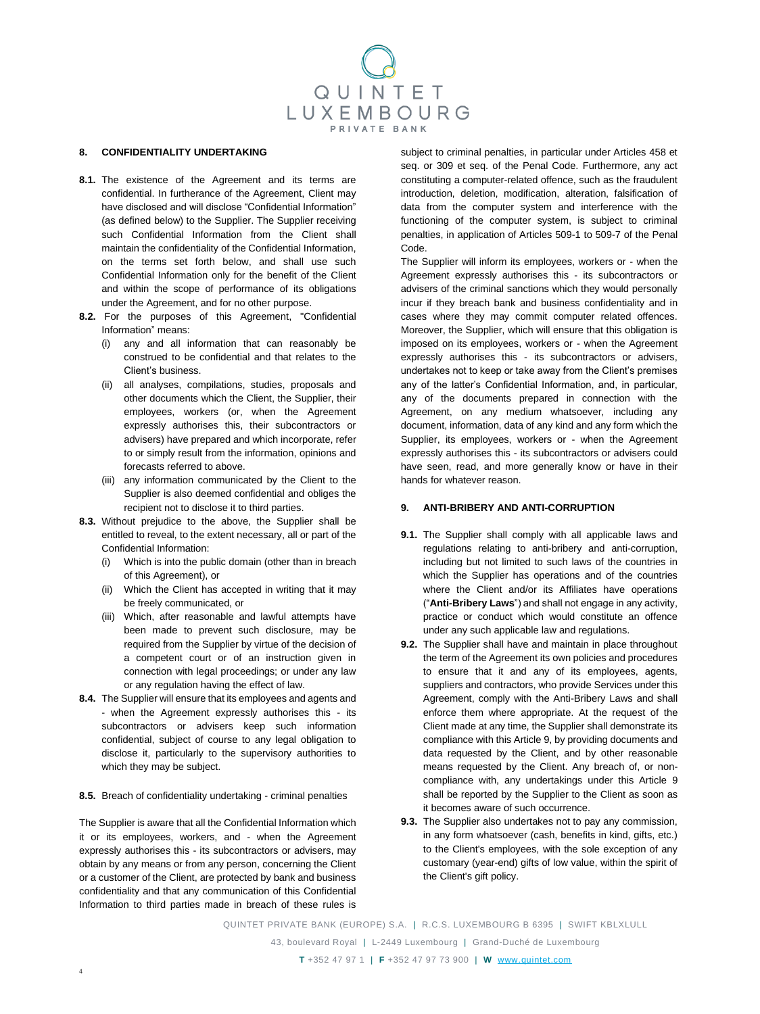

#### <span id="page-3-0"></span>**8. CONFIDENTIALITY UNDERTAKING**

- **8.1.** The existence of the Agreement and its terms are confidential. In furtherance of the Agreement, Client may have disclosed and will disclose "Confidential Information" (as defined below) to the Supplier. The Supplier receiving such Confidential Information from the Client shall maintain the confidentiality of the Confidential Information, on the terms set forth below, and shall use such Confidential Information only for the benefit of the Client and within the scope of performance of its obligations under the Agreement, and for no other purpose.
- **8.2.** For the purposes of this Agreement, "Confidential Information" means:
	- (i) any and all information that can reasonably be construed to be confidential and that relates to the Client's business.
	- (ii) all analyses, compilations, studies, proposals and other documents which the Client, the Supplier, their employees, workers (or, when the Agreement expressly authorises this, their subcontractors or advisers) have prepared and which incorporate, refer to or simply result from the information, opinions and forecasts referred to above.
	- (iii) any information communicated by the Client to the Supplier is also deemed confidential and obliges the recipient not to disclose it to third parties.
- **8.3.** Without prejudice to the above, the Supplier shall be entitled to reveal, to the extent necessary, all or part of the Confidential Information:
	- (i) Which is into the public domain (other than in breach of this Agreement), or
	- (ii) Which the Client has accepted in writing that it may be freely communicated, or
	- (iii) Which, after reasonable and lawful attempts have been made to prevent such disclosure, may be required from the Supplier by virtue of the decision of a competent court or of an instruction given in connection with legal proceedings; or under any law or any regulation having the effect of law.
- **8.4.** The Supplier will ensure that its employees and agents and - when the Agreement expressly authorises this - its subcontractors or advisers keep such information confidential, subject of course to any legal obligation to disclose it, particularly to the supervisory authorities to which they may be subject.

**8.5.** Breach of confidentiality undertaking - criminal penalties

The Supplier is aware that all the Confidential Information which it or its employees, workers, and - when the Agreement expressly authorises this - its subcontractors or advisers, may obtain by any means or from any person, concerning the Client or a customer of the Client, are protected by bank and business confidentiality and that any communication of this Confidential Information to third parties made in breach of these rules is subject to criminal penalties, in particular under Articles 458 et seq. or 309 et seq. of the Penal Code. Furthermore, any act constituting a computer-related offence, such as the fraudulent introduction, deletion, modification, alteration, falsification of data from the computer system and interference with the functioning of the computer system, is subject to criminal penalties, in application of Articles 509-1 to 509-7 of the Penal Code.

The Supplier will inform its employees, workers or - when the Agreement expressly authorises this - its subcontractors or advisers of the criminal sanctions which they would personally incur if they breach bank and business confidentiality and in cases where they may commit computer related offences. Moreover, the Supplier, which will ensure that this obligation is imposed on its employees, workers or - when the Agreement expressly authorises this - its subcontractors or advisers, undertakes not to keep or take away from the Client's premises any of the latter's Confidential Information, and, in particular, any of the documents prepared in connection with the Agreement, on any medium whatsoever, including any document, information, data of any kind and any form which the Supplier, its employees, workers or - when the Agreement expressly authorises this - its subcontractors or advisers could have seen, read, and more generally know or have in their hands for whatever reason.

#### **9. ANTI-BRIBERY AND ANTI-CORRUPTION**

- **9.1.** The Supplier shall comply with all applicable laws and regulations relating to anti-bribery and anti-corruption, including but not limited to such laws of the countries in which the Supplier has operations and of the countries where the Client and/or its Affiliates have operations ("**Anti-Bribery Laws**") and shall not engage in any activity, practice or conduct which would constitute an offence under any such applicable law and regulations.
- **9.2.** The Supplier shall have and maintain in place throughout the term of the Agreement its own policies and procedures to ensure that it and any of its employees, agents, suppliers and contractors, who provide Services under this Agreement, comply with the Anti-Bribery Laws and shall enforce them where appropriate. At the request of the Client made at any time, the Supplier shall demonstrate its compliance with this Article 9, by providing documents and data requested by the Client, and by other reasonable means requested by the Client. Any breach of, or noncompliance with, any undertakings under this Article 9 shall be reported by the Supplier to the Client as soon as it becomes aware of such occurrence.
- **9.3.** The Supplier also undertakes not to pay any commission, in any form whatsoever (cash, benefits in kind, gifts, etc.) to the Client's employees, with the sole exception of any customary (year-end) gifts of low value, within the spirit of the Client's gift policy.

QUINTET PRIVATE BANK (EUROPE) S.A. | R.C.S. LUXEMBOURG B 6395 | SWIFT KBLXLULL 43, boulevard Royal | L-2449 Luxembourg | Grand-Duché de Luxembourg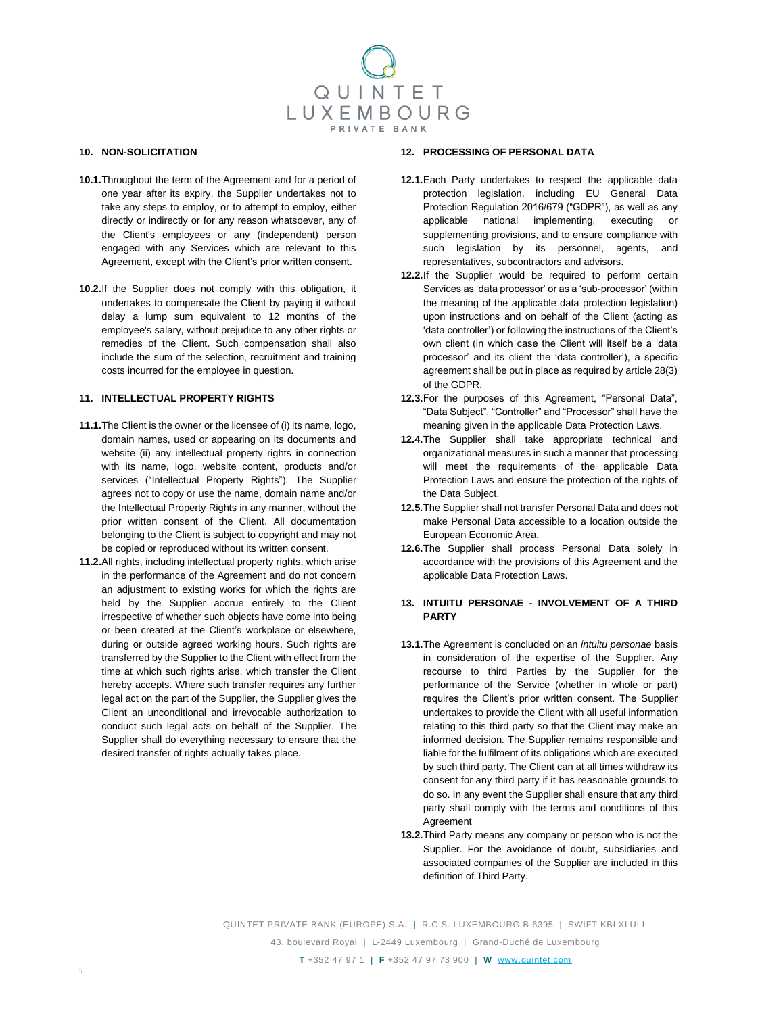

#### **10. NON-SOLICITATION**

- **10.1.**Throughout the term of the Agreement and for a period of one year after its expiry, the Supplier undertakes not to take any steps to employ, or to attempt to employ, either directly or indirectly or for any reason whatsoever, any of the Client's employees or any (independent) person engaged with any Services which are relevant to this Agreement, except with the Client's prior written consent.
- **10.2.**If the Supplier does not comply with this obligation, it undertakes to compensate the Client by paying it without delay a lump sum equivalent to 12 months of the employee's salary, without prejudice to any other rights or remedies of the Client. Such compensation shall also include the sum of the selection, recruitment and training costs incurred for the employee in question.

#### <span id="page-4-0"></span>**11. INTELLECTUAL PROPERTY RIGHTS**

- **11.1.**The Client is the owner or the licensee of (i) its name, logo, domain names, used or appearing on its documents and website (ii) any intellectual property rights in connection with its name, logo, website content, products and/or services ("Intellectual Property Rights"). The Supplier agrees not to copy or use the name, domain name and/or the Intellectual Property Rights in any manner, without the prior written consent of the Client. All documentation belonging to the Client is subject to copyright and may not be copied or reproduced without its written consent.
- **11.2.**All rights, including intellectual property rights, which arise in the performance of the Agreement and do not concern an adjustment to existing works for which the rights are held by the Supplier accrue entirely to the Client irrespective of whether such objects have come into being or been created at the Client's workplace or elsewhere, during or outside agreed working hours. Such rights are transferred by the Supplier to the Client with effect from the time at which such rights arise, which transfer the Client hereby accepts. Where such transfer requires any further legal act on the part of the Supplier, the Supplier gives the Client an unconditional and irrevocable authorization to conduct such legal acts on behalf of the Supplier. The Supplier shall do everything necessary to ensure that the desired transfer of rights actually takes place.

#### **12. PROCESSING OF PERSONAL DATA**

- **12.1.**Each Party undertakes to respect the applicable data protection legislation, including EU General Data Protection Regulation 2016/679 ("GDPR"), as well as any applicable national implementing, executing or supplementing provisions, and to ensure compliance with such legislation by its personnel, agents, and representatives, subcontractors and advisors.
- **12.2.**If the Supplier would be required to perform certain Services as 'data processor' or as a 'sub-processor' (within the meaning of the applicable data protection legislation) upon instructions and on behalf of the Client (acting as 'data controller') or following the instructions of the Client's own client (in which case the Client will itself be a 'data processor' and its client the 'data controller'), a specific agreement shall be put in place as required by article 28(3) of the GDPR.
- **12.3.**For the purposes of this Agreement, "Personal Data", "Data Subject", "Controller" and "Processor" shall have the meaning given in the applicable Data Protection Laws.
- **12.4.**The Supplier shall take appropriate technical and organizational measures in such a manner that processing will meet the requirements of the applicable Data Protection Laws and ensure the protection of the rights of the Data Subject.
- **12.5.**The Supplier shall not transfer Personal Data and does not make Personal Data accessible to a location outside the European Economic Area.
- **12.6.**The Supplier shall process Personal Data solely in accordance with the provisions of this Agreement and the applicable Data Protection Laws.

#### **13. INTUITU PERSONAE - INVOLVEMENT OF A THIRD PARTY**

- **13.1.**The Agreement is concluded on an *intuitu personae* basis in consideration of the expertise of the Supplier. Any recourse to third Parties by the Supplier for the performance of the Service (whether in whole or part) requires the Client's prior written consent. The Supplier undertakes to provide the Client with all useful information relating to this third party so that the Client may make an informed decision. The Supplier remains responsible and liable for the fulfilment of its obligations which are executed by such third party. The Client can at all times withdraw its consent for any third party if it has reasonable grounds to do so. In any event the Supplier shall ensure that any third party shall comply with the terms and conditions of this Agreement
- **13.2.**Third Party means any company or person who is not the Supplier. For the avoidance of doubt, subsidiaries and associated companies of the Supplier are included in this definition of Third Party.

QUINTET PRIVATE BANK (EUROPE) S.A. | R.C.S. LUXEMBOURG B 6395 | SWIFT KBLXLULL 43, boulevard Royal | L-2449 Luxembourg | Grand-Duché de Luxembourg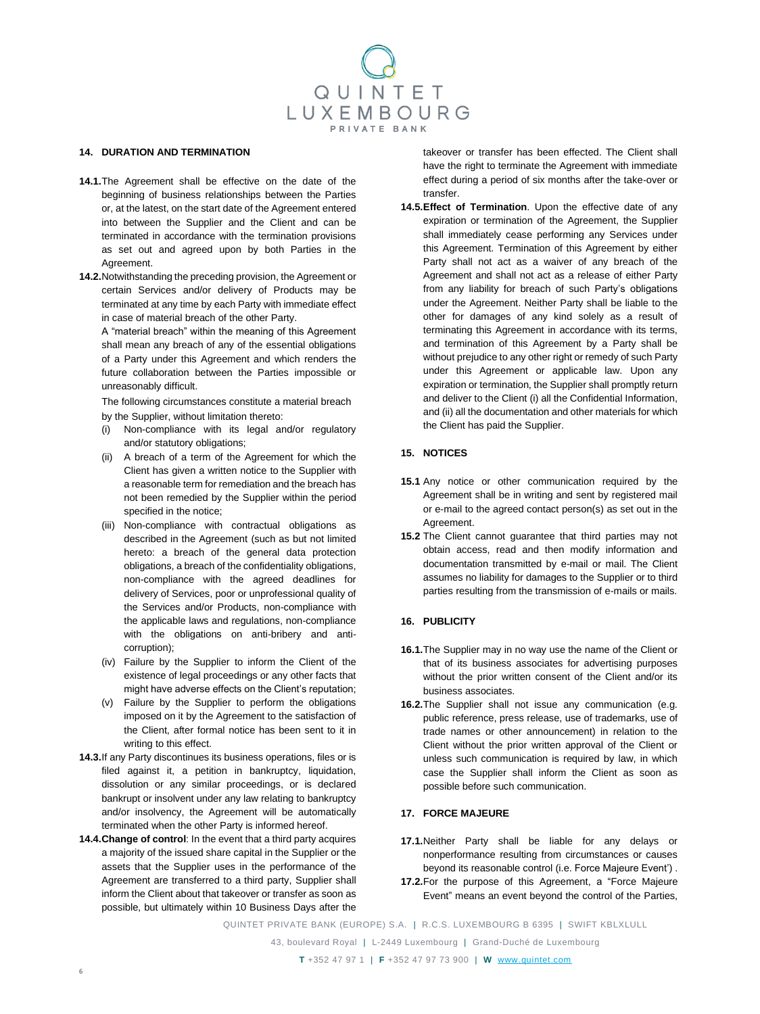

#### **14. DURATION AND TERMINATION**

- **14.1.**The Agreement shall be effective on the date of the beginning of business relationships between the Parties or, at the latest, on the start date of the Agreement entered into between the Supplier and the Client and can be terminated in accordance with the termination provisions as set out and agreed upon by both Parties in the Agreement.
- **14.2.**Notwithstanding the preceding provision, the Agreement or certain Services and/or delivery of Products may be terminated at any time by each Party with immediate effect in case of material breach of the other Party.

A "material breach" within the meaning of this Agreement shall mean any breach of any of the essential obligations of a Party under this Agreement and which renders the future collaboration between the Parties impossible or unreasonably difficult.

The following circumstances constitute a material breach by the Supplier, without limitation thereto:

- (i) Non-compliance with its legal and/or regulatory and/or statutory obligations;
- (ii) A breach of a term of the Agreement for which the Client has given a written notice to the Supplier with a reasonable term for remediation and the breach has not been remedied by the Supplier within the period specified in the notice;
- (iii) Non-compliance with contractual obligations as described in the Agreement (such as but not limited hereto: a breach of the general data protection obligations, a breach of the confidentiality obligations, non-compliance with the agreed deadlines for delivery of Services, poor or unprofessional quality of the Services and/or Products, non-compliance with the applicable laws and regulations, non-compliance with the obligations on anti-bribery and anticorruption);
- (iv) Failure by the Supplier to inform the Client of the existence of legal proceedings or any other facts that might have adverse effects on the Client's reputation;
- (v) Failure by the Supplier to perform the obligations imposed on it by the Agreement to the satisfaction of the Client, after formal notice has been sent to it in writing to this effect.
- **14.3.**If any Party discontinues its business operations, files or is filed against it, a petition in bankruptcy, liquidation, dissolution or any similar proceedings, or is declared bankrupt or insolvent under any law relating to bankruptcy and/or insolvency, the Agreement will be automatically terminated when the other Party is informed hereof.
- **14.4.Change of control**: In the event that a third party acquires a majority of the issued share capital in the Supplier or the assets that the Supplier uses in the performance of the Agreement are transferred to a third party, Supplier shall inform the Client about that takeover or transfer as soon as possible, but ultimately within 10 Business Days after the

takeover or transfer has been effected. The Client shall have the right to terminate the Agreement with immediate effect during a period of six months after the take-over or transfer.

**14.5.Effect of Termination**. Upon the effective date of any expiration or termination of the Agreement, the Supplier shall immediately cease performing any Services under this Agreement. Termination of this Agreement by either Party shall not act as a waiver of any breach of the Agreement and shall not act as a release of either Party from any liability for breach of such Party's obligations under the Agreement. Neither Party shall be liable to the other for damages of any kind solely as a result of terminating this Agreement in accordance with its terms, and termination of this Agreement by a Party shall be without prejudice to any other right or remedy of such Party under this Agreement or applicable law. Upon any expiration or termination, the Supplier shall promptly return and deliver to the Client (i) all the Confidential Information, and (ii) all the documentation and other materials for which the Client has paid the Supplier.

#### **15. NOTICES**

- **15.1** Any notice or other communication required by the Agreement shall be in writing and sent by registered mail or e-mail to the agreed contact person(s) as set out in the Agreement.
- **15.2** The Client cannot guarantee that third parties may not obtain access, read and then modify information and documentation transmitted by e-mail or mail. The Client assumes no liability for damages to the Supplier or to third parties resulting from the transmission of e-mails or mails.

#### **16. PUBLICITY**

- **16.1.**The Supplier may in no way use the name of the Client or that of its business associates for advertising purposes without the prior written consent of the Client and/or its business associates.
- **16.2.**The Supplier shall not issue any communication (e.g. public reference, press release, use of trademarks, use of trade names or other announcement) in relation to the Client without the prior written approval of the Client or unless such communication is required by law, in which case the Supplier shall inform the Client as soon as possible before such communication.

#### **17. FORCE MAJEURE**

- **17.1.**Neither Party shall be liable for any delays or nonperformance resulting from circumstances or causes beyond its reasonable control (i.e. Force Majeure Event') .
- **17.2.**For the purpose of this Agreement, a "Force Majeure Event" means an event beyond the control of the Parties,

QUINTET PRIVATE BANK (EUROPE) S.A. | R.C.S. LUXEMBOURG B 6395 | SWIFT KBLXLULL

43, boulevard Royal | L-2449 Luxembourg | Grand-Duché de Luxembourg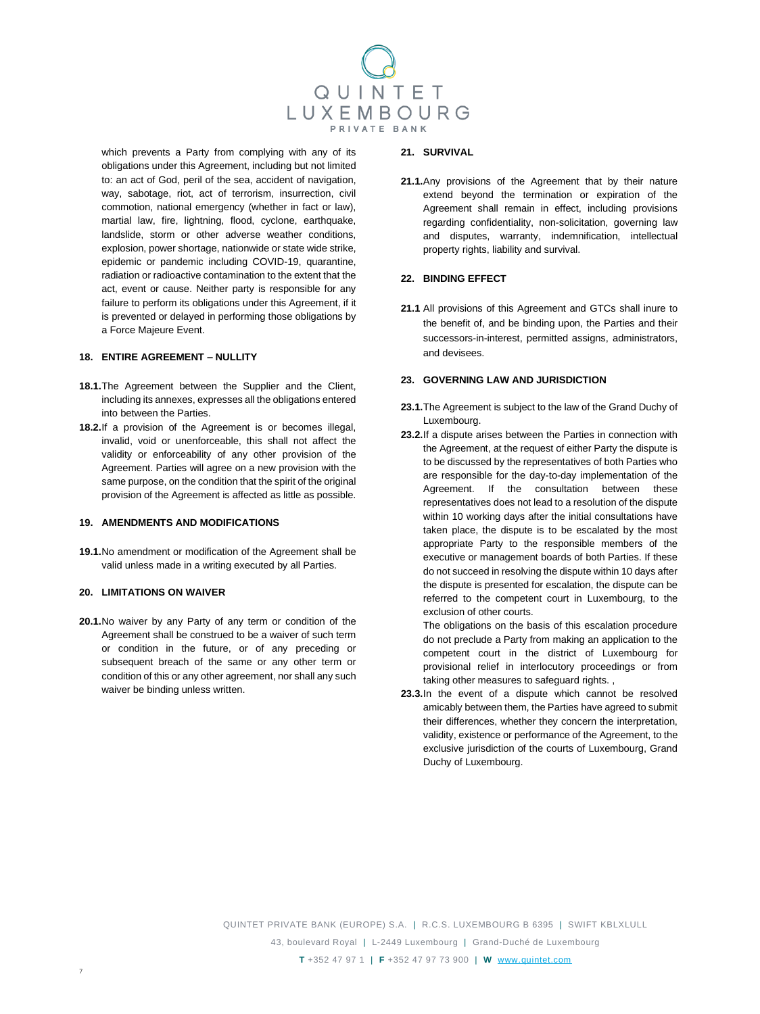

which prevents a Party from complying with any of its obligations under this Agreement, including but not limited to: an act of God, peril of the sea, accident of navigation, way, sabotage, riot, act of terrorism, insurrection, civil commotion, national emergency (whether in fact or law), martial law, fire, lightning, flood, cyclone, earthquake, landslide, storm or other adverse weather conditions, explosion, power shortage, nationwide or state wide strike, epidemic or pandemic including COVID-19, quarantine, radiation or radioactive contamination to the extent that the act, event or cause. Neither party is responsible for any failure to perform its obligations under this Agreement, if it is prevented or delayed in performing those obligations by a Force Majeure Event.

#### **18. ENTIRE AGREEMENT – NULLITY**

- **18.1.**The Agreement between the Supplier and the Client, including its annexes, expresses all the obligations entered into between the Parties.
- **18.2.**If a provision of the Agreement is or becomes illegal, invalid, void or unenforceable, this shall not affect the validity or enforceability of any other provision of the Agreement. Parties will agree on a new provision with the same purpose, on the condition that the spirit of the original provision of the Agreement is affected as little as possible.

#### **19. AMENDMENTS AND MODIFICATIONS**

**19.1.**No amendment or modification of the Agreement shall be valid unless made in a writing executed by all Parties.

#### **20. LIMITATIONS ON WAIVER**

**20.1.**No waiver by any Party of any term or condition of the Agreement shall be construed to be a waiver of such term or condition in the future, or of any preceding or subsequent breach of the same or any other term or condition of this or any other agreement, nor shall any such waiver be binding unless written.

#### **21. SURVIVAL**

**21.1.**Any provisions of the Agreement that by their nature extend beyond the termination or expiration of the Agreement shall remain in effect, including provisions regarding confidentiality, non-solicitation, governing law and disputes, warranty, indemnification, intellectual property rights, liability and survival.

#### **22. BINDING EFFECT**

**21.1** All provisions of this Agreement and GTCs shall inure to the benefit of, and be binding upon, the Parties and their successors-in-interest, permitted assigns, administrators, and devisees.

#### **23. GOVERNING LAW AND JURISDICTION**

- **23.1.**The Agreement is subject to the law of the Grand Duchy of Luxembourg.
- **23.2.**If a dispute arises between the Parties in connection with the Agreement, at the request of either Party the dispute is to be discussed by the representatives of both Parties who are responsible for the day-to-day implementation of the Agreement. If the consultation between these representatives does not lead to a resolution of the dispute within 10 working days after the initial consultations have taken place, the dispute is to be escalated by the most appropriate Party to the responsible members of the executive or management boards of both Parties. If these do not succeed in resolving the dispute within 10 days after the dispute is presented for escalation, the dispute can be referred to the competent court in Luxembourg, to the exclusion of other courts.

The obligations on the basis of this escalation procedure do not preclude a Party from making an application to the competent court in the district of Luxembourg for provisional relief in interlocutory proceedings or from taking other measures to safeguard rights. ,

**23.3.**In the event of a dispute which cannot be resolved amicably between them, the Parties have agreed to submit their differences, whether they concern the interpretation, validity, existence or performance of the Agreement, to the exclusive jurisdiction of the courts of Luxembourg, Grand Duchy of Luxembourg.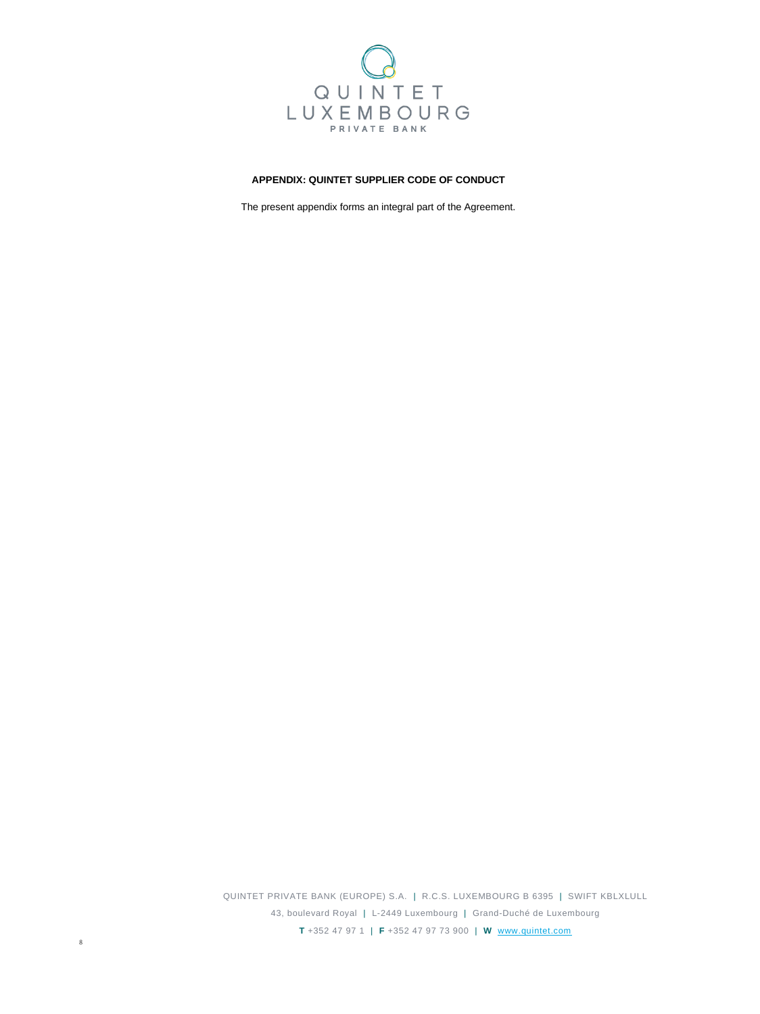

#### **APPENDIX: QUINTET SUPPLIER CODE OF CONDUCT**

The present appendix forms an integral part of the Agreement.

QUINTET PRIVATE BANK (EUROPE) S.A. | R.C.S. LUXEMBOURG B 6395 | SWIFT KBLXLULL 43, boulevard Royal | L-2449 Luxembourg | Grand-Duché de Luxembourg **T** +352 47 97 1 | **F** +352 47 97 73 900 | **W** [www.quintet.com](http://www.quintet.com/)

8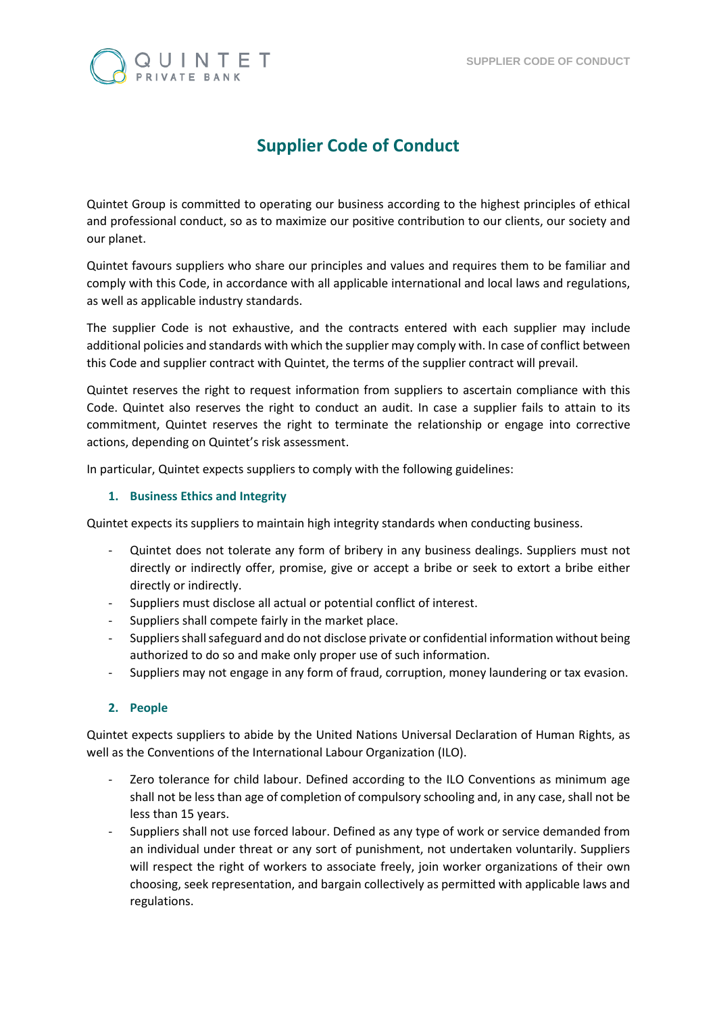

# **Supplier Code of Conduct**

Quintet Group is committed to operating our business according to the highest principles of ethical and professional conduct, so as to maximize our positive contribution to our clients, our society and our planet.

Quintet favours suppliers who share our principles and values and requires them to be familiar and comply with this Code, in accordance with all applicable international and local laws and regulations, as well as applicable industry standards.

The supplier Code is not exhaustive, and the contracts entered with each supplier may include additional policies and standards with which the supplier may comply with. In case of conflict between this Code and supplier contract with Quintet, the terms of the supplier contract will prevail.

Quintet reserves the right to request information from suppliers to ascertain compliance with this Code. Quintet also reserves the right to conduct an audit. In case a supplier fails to attain to its commitment, Quintet reserves the right to terminate the relationship or engage into corrective actions, depending on Quintet's risk assessment.

In particular, Quintet expects suppliers to comply with the following guidelines:

## **1. Business Ethics and Integrity**

Quintet expects its suppliers to maintain high integrity standards when conducting business.

- Quintet does not tolerate any form of bribery in any business dealings. Suppliers must not directly or indirectly offer, promise, give or accept a bribe or seek to extort a bribe either directly or indirectly.
- Suppliers must disclose all actual or potential conflict of interest.
- Suppliers shall compete fairly in the market place.
- Suppliers shall safeguard and do not disclose private or confidential information without being authorized to do so and make only proper use of such information.
- Suppliers may not engage in any form of fraud, corruption, money laundering or tax evasion.

## **2. People**

Quintet expects suppliers to abide by the United Nations Universal Declaration of Human Rights, as well as the Conventions of the International Labour Organization (ILO).

- Zero tolerance for child labour. Defined according to the ILO Conventions as minimum age shall not be less than age of completion of compulsory schooling and, in any case, shall not be less than 15 years.
- Suppliers shall not use forced labour. Defined as any type of work or service demanded from an individual under threat or any sort of punishment, not undertaken voluntarily. Suppliers will respect the right of workers to associate freely, join worker organizations of their own choosing, seek representation, and bargain collectively as permitted with applicable laws and regulations.